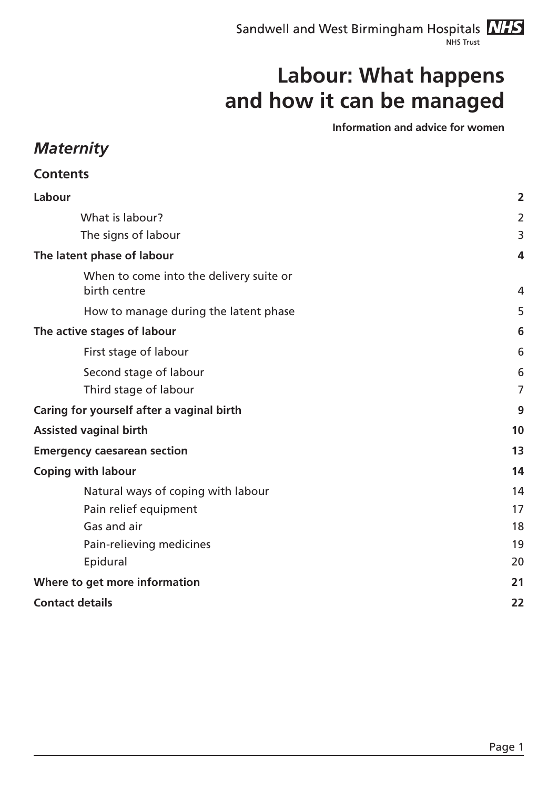Sandwell and West Birmingham Hospitals **NIFS** NHS Trust

## **Labour: What happens and how it can be managed**

**Information and advice for women**

### *Maternity*

| $\overline{2}$ |
|----------------|
| $\overline{2}$ |
| 3              |
| 4              |
| 4              |
| 5              |
| 6              |
| 6              |
| 6              |
| $\overline{7}$ |
| 9              |
| 10             |
| 13             |
| 14             |
| 14             |
| 17             |
| 18             |
| 19             |
| 20             |
| 21             |
| 22             |
|                |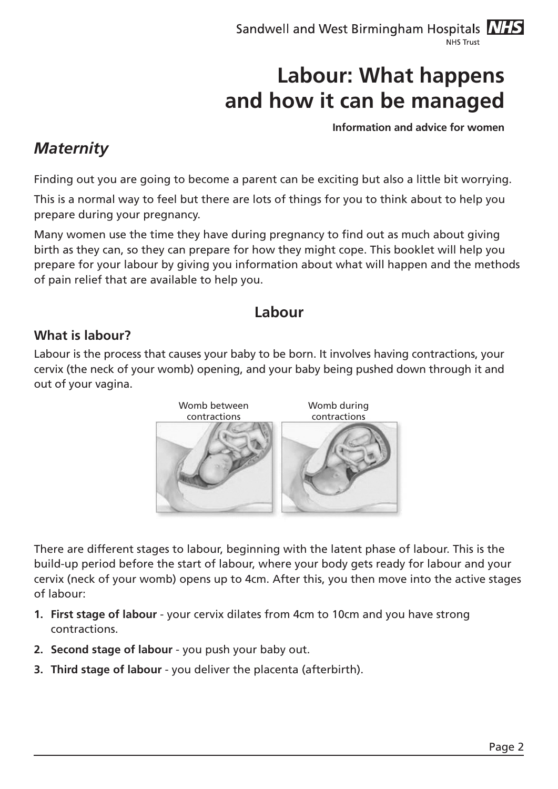**Information and advice for women**

## *Maternity*

Finding out you are going to become a parent can be exciting but also a little bit worrying.

This is a normal way to feel but there are lots of things for you to think about to help you prepare during your pregnancy.

Many women use the time they have during pregnancy to find out as much about giving birth as they can, so they can prepare for how they might cope. This booklet will help you prepare for your labour by giving you information about what will happen and the methods of pain relief that are available to help you.

### **Labour**

#### **What is labour?**

Labour is the process that causes your baby to be born. It involves having contractions, your cervix (the neck of your womb) opening, and your baby being pushed down through it and out of your vagina.



There are different stages to labour, beginning with the latent phase of labour. This is the build-up period before the start of labour, where your body gets ready for labour and your cervix (neck of your womb) opens up to 4cm. After this, you then move into the active stages of labour:

- **1. First stage of labour** your cervix dilates from 4cm to 10cm and you have strong contractions.
- **2. Second stage of labour** you push your baby out.
- **3. Third stage of labour** you deliver the placenta (afterbirth).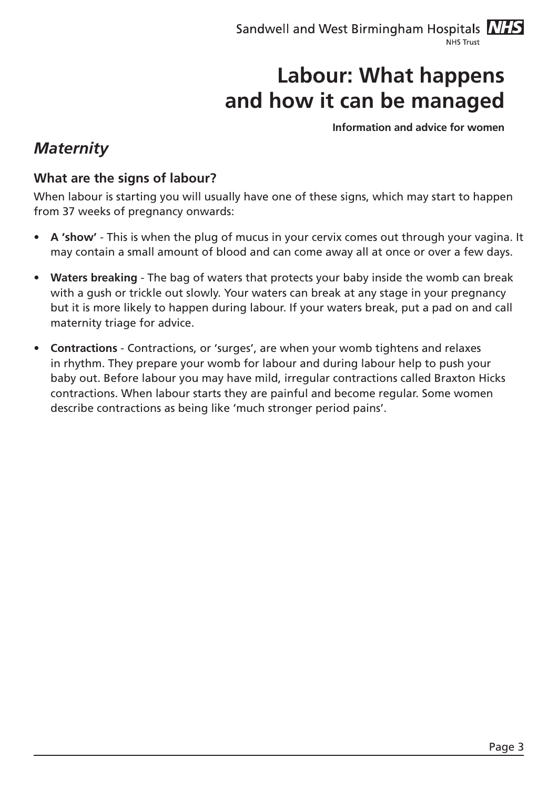**Information and advice for women**

## *Maternity*

#### **What are the signs of labour?**

When labour is starting you will usually have one of these signs, which may start to happen from 37 weeks of pregnancy onwards:

- **A** 'show' This is when the plug of mucus in your cervix comes out through your vagina. It may contain a small amount of blood and can come away all at once or over a few days.
- **• Waters breaking** The bag of waters that protects your baby inside the womb can break with a gush or trickle out slowly. Your waters can break at any stage in your pregnancy but it is more likely to happen during labour. If your waters break, put a pad on and call maternity triage for advice.
- **Contractions** Contractions, or 'surges', are when your womb tightens and relaxes in rhythm. They prepare your womb for labour and during labour help to push your baby out. Before labour you may have mild, irregular contractions called Braxton Hicks contractions. When labour starts they are painful and become regular. Some women describe contractions as being like 'much stronger period pains'.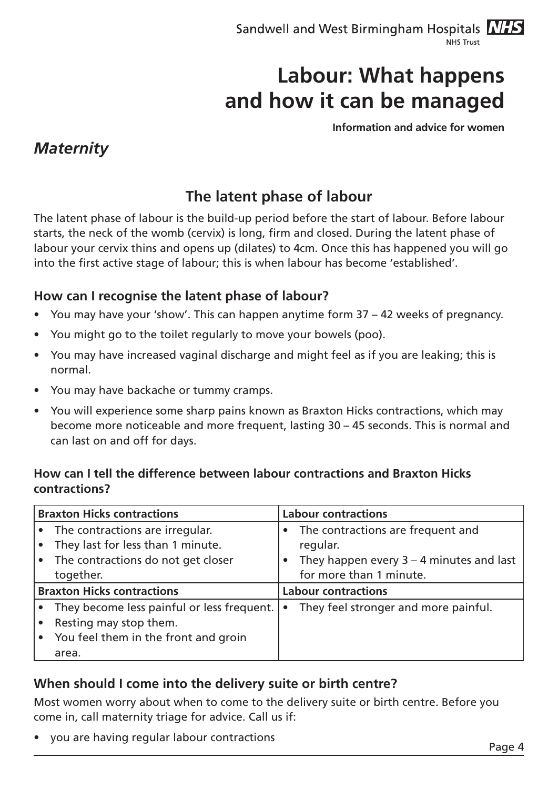**Information and advice for women**

### *Maternity*

## **The latent phase of labour**

The latent phase of labour is the build-up period before the start of labour. Before labour starts, the neck of the womb (cervix) is long, firm and closed. During the latent phase of labour your cervix thins and opens up (dilates) to 4cm. Once this has happened you will go into the first active stage of labour; this is when labour has become 'established'.

#### **How can I recognise the latent phase of labour?**

- You may have your 'show'. This can happen anytime form  $37 42$  weeks of pregnancy.
- You might go to the toilet regularly to move your bowels (poo).
- You may have increased vaginal discharge and might feel as if you are leaking; this is normal.
- You may have backache or tummy cramps.
- You will experience some sharp pains known as Braxton Hicks contractions, which may become more noticeable and more frequent, lasting 30 – 45 seconds. This is normal and can last on and off for days.

#### **How can I tell the difference between labour contractions and Braxton Hicks contractions?**

| <b>Braxton Hicks contractions</b> |                                            | <b>Labour contractions</b> |                                            |
|-----------------------------------|--------------------------------------------|----------------------------|--------------------------------------------|
|                                   | The contractions are irregular.            | $\bullet$                  | The contractions are frequent and          |
|                                   | They last for less than 1 minute.          |                            | regular.                                   |
|                                   | The contractions do not get closer         | $\bullet$                  | They happen every $3 - 4$ minutes and last |
|                                   | together.                                  |                            | for more than 1 minute.                    |
| <b>Braxton Hicks contractions</b> |                                            | <b>Labour contractions</b> |                                            |
|                                   | They become less painful or less frequent. | $\bullet$                  | They feel stronger and more painful.       |
|                                   | Resting may stop them.                     |                            |                                            |
|                                   | You feel them in the front and groin       |                            |                                            |
|                                   | area.                                      |                            |                                            |

#### **When should I come into the delivery suite or birth centre?**

Most women worry about when to come to the delivery suite or birth centre. Before you come in, call maternity triage for advice. Call us if:

you are having regular labour contractions example that the page 4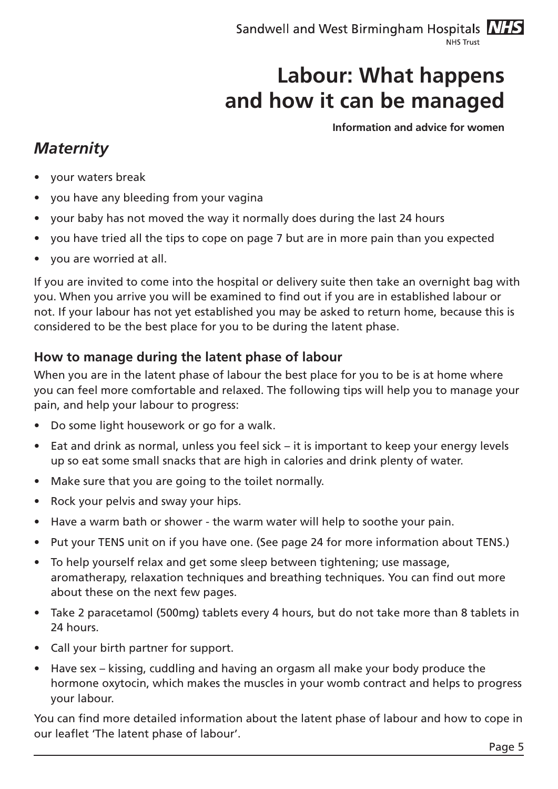**Information and advice for women**

### *Maternity*

- your waters break
- you have any bleeding from your vagina
- your baby has not moved the way it normally does during the last 24 hours
- you have tried all the tips to cope on page 7 but are in more pain than you expected
- you are worried at all.

If you are invited to come into the hospital or delivery suite then take an overnight bag with you. When you arrive you will be examined to find out if you are in established labour or not. If your labour has not yet established you may be asked to return home, because this is considered to be the best place for you to be during the latent phase.

#### **How to manage during the latent phase of labour**

When you are in the latent phase of labour the best place for you to be is at home where you can feel more comfortable and relaxed. The following tips will help you to manage your pain, and help your labour to progress:

- Do some light housework or go for a walk.
- Eat and drink as normal, unless you feel sick  $-$  it is important to keep your energy levels up so eat some small snacks that are high in calories and drink plenty of water.
- Make sure that you are going to the toilet normally.
- Rock your pelvis and sway your hips.
- Have a warm bath or shower the warm water will help to soothe your pain.
- Put your TENS unit on if you have one. (See page 24 for more information about TENS.)
- To help yourself relax and get some sleep between tightening; use massage, aromatherapy, relaxation techniques and breathing techniques. You can find out more about these on the next few pages.
- Take 2 paracetamol (500mg) tablets every 4 hours, but do not take more than 8 tablets in 24 hours.
- • Call your birth partner for support.
- Have sex kissing, cuddling and having an orgasm all make your body produce the hormone oxytocin, which makes the muscles in your womb contract and helps to progress your labour.

You can find more detailed information about the latent phase of labour and how to cope in our leaflet 'The latent phase of labour'.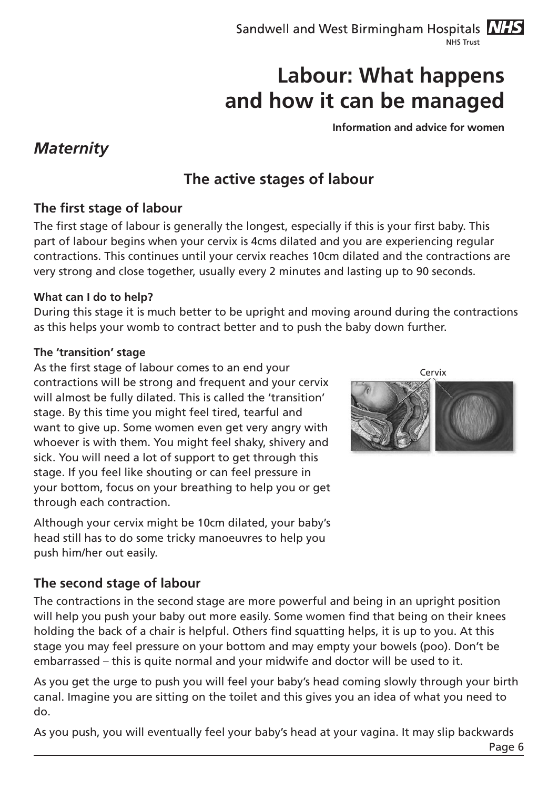**Information and advice for women**

### *Maternity*

## **The active stages of labour**

#### **The first stage of labour**

The first stage of labour is generally the longest, especially if this is your first baby. This part of labour begins when your cervix is 4cms dilated and you are experiencing regular contractions. This continues until your cervix reaches 10cm dilated and the contractions are very strong and close together, usually every 2 minutes and lasting up to 90 seconds.

#### **What can I do to help?**

During this stage it is much better to be upright and moving around during the contractions as this helps your womb to contract better and to push the baby down further.

#### **The 'transition' stage**

As the first stage of labour comes to an end your contractions will be strong and frequent and your cervix will almost be fully dilated. This is called the 'transition' stage. By this time you might feel tired, tearful and want to give up. Some women even get very angry with whoever is with them. You might feel shaky, shivery and sick. You will need a lot of support to get through this stage. If you feel like shouting or can feel pressure in your bottom, focus on your breathing to help you or get through each contraction.

Although your cervix might be 10cm dilated, your baby's head still has to do some tricky manoeuvres to help you push him/her out easily.

#### **The second stage of labour**

The contractions in the second stage are more powerful and being in an upright position will help you push your baby out more easily. Some women find that being on their knees holding the back of a chair is helpful. Others find squatting helps, it is up to you. At this stage you may feel pressure on your bottom and may empty your bowels (poo). Don't be embarrassed – this is quite normal and your midwife and doctor will be used to it.

As you get the urge to push you will feel your baby's head coming slowly through your birth canal. Imagine you are sitting on the toilet and this gives you an idea of what you need to do.

As you push, you will eventually feel your baby's head at your vagina. It may slip backwards

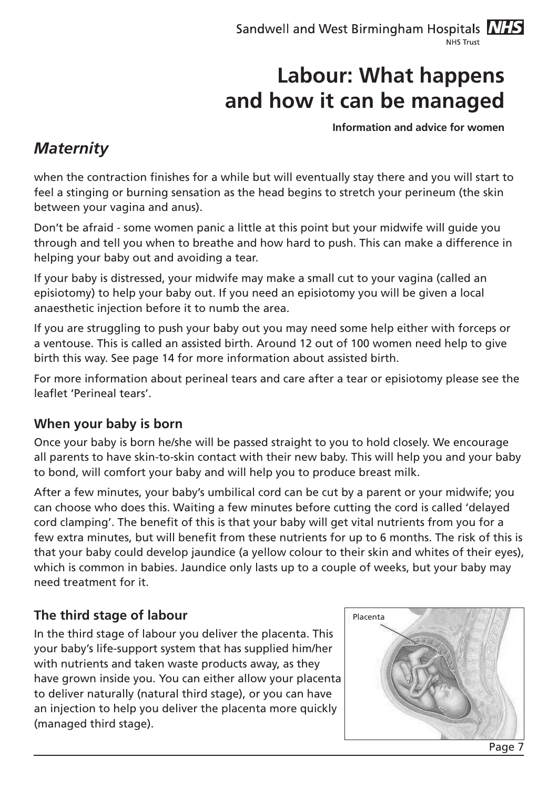**Information and advice for women**

## *Maternity*

when the contraction finishes for a while but will eventually stay there and you will start to feel a stinging or burning sensation as the head begins to stretch your perineum (the skin between your vagina and anus).

Don't be afraid - some women panic a little at this point but your midwife will guide you through and tell you when to breathe and how hard to push. This can make a difference in helping your baby out and avoiding a tear.

If your baby is distressed, your midwife may make a small cut to your vagina (called an episiotomy) to help your baby out. If you need an episiotomy you will be given a local anaesthetic injection before it to numb the area.

If you are struggling to push your baby out you may need some help either with forceps or a ventouse. This is called an assisted birth. Around 12 out of 100 women need help to give birth this way. See page 14 for more information about assisted birth.

For more information about perineal tears and care after a tear or episiotomy please see the leaflet 'Perineal tears'.

#### **When your baby is born**

Once your baby is born he/she will be passed straight to you to hold closely. We encourage all parents to have skin-to-skin contact with their new baby. This will help you and your baby to bond, will comfort your baby and will help you to produce breast milk.

After a few minutes, your baby's umbilical cord can be cut by a parent or your midwife; you can choose who does this. Waiting a few minutes before cutting the cord is called 'delayed cord clamping'. The benefit of this is that your baby will get vital nutrients from you for a few extra minutes, but will benefit from these nutrients for up to 6 months. The risk of this is that your baby could develop jaundice (a yellow colour to their skin and whites of their eyes), which is common in babies. Jaundice only lasts up to a couple of weeks, but your baby may need treatment for it.

#### **The third stage of labour**

In the third stage of labour you deliver the placenta. This your baby's life-support system that has supplied him/her with nutrients and taken waste products away, as they have grown inside you. You can either allow your placenta to deliver naturally (natural third stage), or you can have an injection to help you deliver the placenta more quickly (managed third stage).

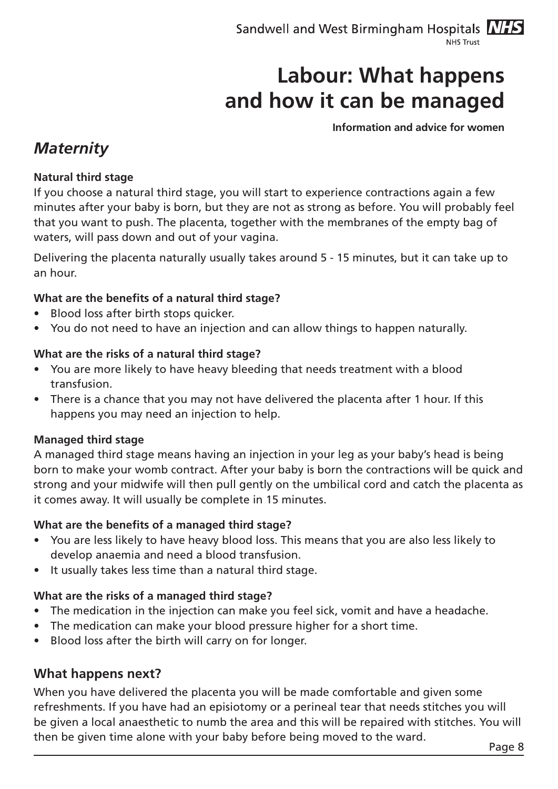**Information and advice for women**

### *Maternity*

#### **Natural third stage**

If you choose a natural third stage, you will start to experience contractions again a few minutes after your baby is born, but they are not as strong as before. You will probably feel that you want to push. The placenta, together with the membranes of the empty bag of waters, will pass down and out of your vagina.

Delivering the placenta naturally usually takes around 5 - 15 minutes, but it can take up to an hour.

#### **What are the benefits of a natural third stage?**

- • Blood loss after birth stops quicker.
- You do not need to have an injection and can allow things to happen naturally.

#### **What are the risks of a natural third stage?**

- You are more likely to have heavy bleeding that needs treatment with a blood transfusion.
- There is a chance that you may not have delivered the placenta after 1 hour. If this happens you may need an injection to help.

#### **Managed third stage**

A managed third stage means having an injection in your leg as your baby's head is being born to make your womb contract. After your baby is born the contractions will be quick and strong and your midwife will then pull gently on the umbilical cord and catch the placenta as it comes away. It will usually be complete in 15 minutes.

#### **What are the benefits of a managed third stage?**

- You are less likely to have heavy blood loss. This means that you are also less likely to develop anaemia and need a blood transfusion.
- • It usually takes less time than a natural third stage.

#### **What are the risks of a managed third stage?**

- The medication in the injection can make you feel sick, vomit and have a headache.
- The medication can make your blood pressure higher for a short time.
- Blood loss after the birth will carry on for longer.

#### **What happens next?**

When you have delivered the placenta you will be made comfortable and given some refreshments. If you have had an episiotomy or a perineal tear that needs stitches you will be given a local anaesthetic to numb the area and this will be repaired with stitches. You will then be given time alone with your baby before being moved to the ward.<br>Page 8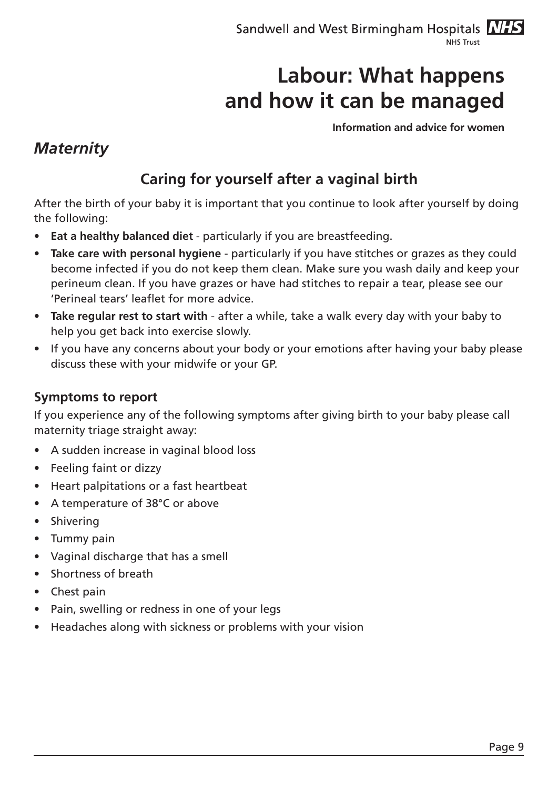**Information and advice for women**

### *Maternity*

## **Caring for yourself after a vaginal birth**

After the birth of your baby it is important that you continue to look after yourself by doing the following:

- **Eat a healthy balanced diet** particularly if you are breastfeeding.
- **Take care with personal hygiene** particularly if you have stitches or grazes as they could become infected if you do not keep them clean. Make sure you wash daily and keep your perineum clean. If you have grazes or have had stitches to repair a tear, please see our 'Perineal tears' leaflet for more advice.
- **• Take regular rest to start with** after a while, take a walk every day with your baby to help you get back into exercise slowly.
- If you have any concerns about your body or your emotions after having your baby please discuss these with your midwife or your GP.

#### **Symptoms to report**

If you experience any of the following symptoms after giving birth to your baby please call maternity triage straight away:

- A sudden increase in vaginal blood loss
- Feeling faint or dizzy
- **Heart palpitations or a fast heartbeat**
- • A temperature of 38°C or above
- **Shivering**
- Tummy pain
- Vaginal discharge that has a smell
- • Shortness of breath
- Chest pain
- Pain, swelling or redness in one of your legs
- Headaches along with sickness or problems with your vision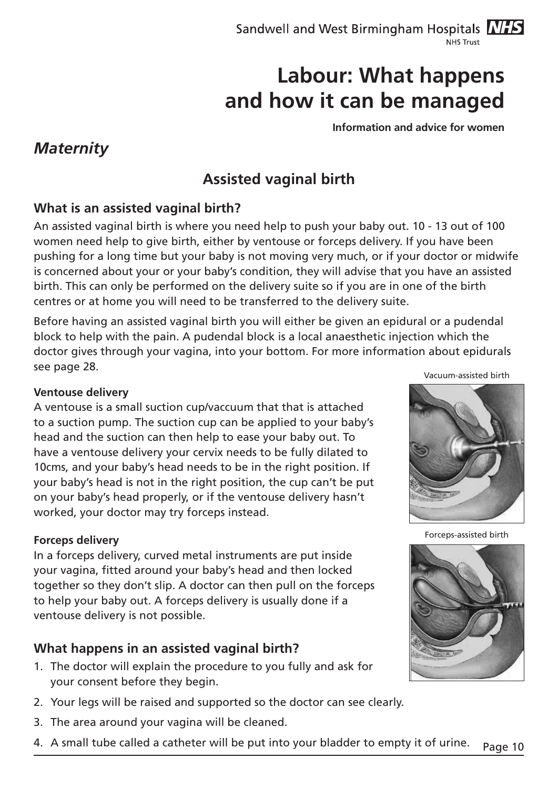**Information and advice for women**

### *Maternity*

## **Assisted vaginal birth**

#### **What is an assisted vaginal birth?**

An assisted vaginal birth is where you need help to push your baby out. 10 - 13 out of 100 women need help to give birth, either by ventouse or forceps delivery. If you have been pushing for a long time but your baby is not moving very much, or if your doctor or midwife is concerned about your or your baby's condition, they will advise that you have an assisted birth. This can only be performed on the delivery suite so if you are in one of the birth centres or at home you will need to be transferred to the delivery suite.

Before having an assisted vaginal birth you will either be given an epidural or a pudendal block to help with the pain. A pudendal block is a local anaesthetic injection which the doctor gives through your vagina, into your bottom. For more information about epidurals see page 28.

#### **Ventouse delivery**

A ventouse is a small suction cup/vaccuum that that is attached to a suction pump. The suction cup can be applied to your baby's head and the suction can then help to ease your baby out. To have a ventouse delivery your cervix needs to be fully dilated to 10cms, and your baby's head needs to be in the right position. If your baby's head is not in the right position, the cup can't be put on your baby's head properly, or if the ventouse delivery hasn't worked, your doctor may try forceps instead.

#### **Forceps delivery**

In a forceps delivery, curved metal instruments are put inside your vagina, fitted around your baby's head and then locked together so they don't slip. A doctor can then pull on the forceps to help your baby out. A forceps delivery is usually done if a ventouse delivery is not possible.

#### **What happens in an assisted vaginal birth?**

- 1. The doctor will explain the procedure to you fully and ask for your consent before they begin.
- 2. Your legs will be raised and supported so the doctor can see clearly.
- 3. The area around your vagina will be cleaned.
- 4. A small tube called a catheter will be put into your bladder to empty it of urine. Page 10

Vacuum-assisted birth



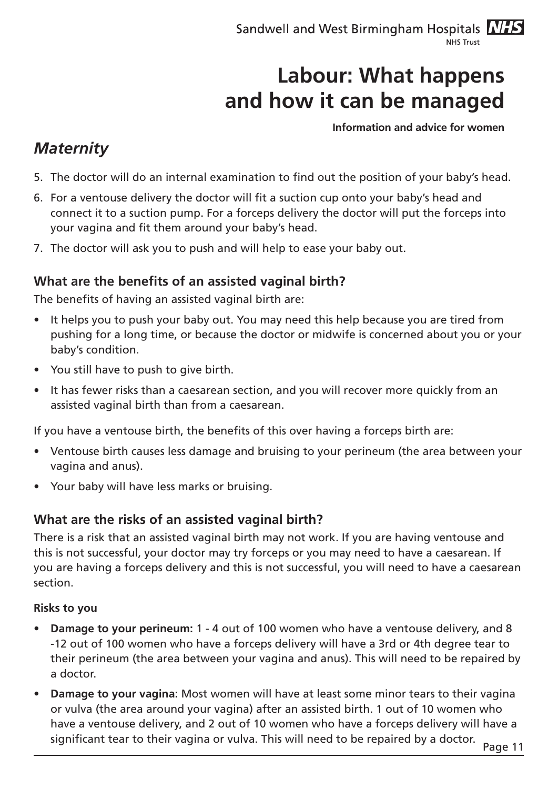#### **Information and advice for women**

### *Maternity*

- 5. The doctor will do an internal examination to find out the position of your baby's head.
- 6. For a ventouse delivery the doctor will fit a suction cup onto your baby's head and connect it to a suction pump. For a forceps delivery the doctor will put the forceps into your vagina and fit them around your baby's head.
- 7. The doctor will ask you to push and will help to ease your baby out.

#### **What are the benefits of an assisted vaginal birth?**

The benefits of having an assisted vaginal birth are:

- It helps you to push your baby out. You may need this help because you are tired from pushing for a long time, or because the doctor or midwife is concerned about you or your baby's condition.
- You still have to push to give birth.
- It has fewer risks than a caesarean section, and you will recover more quickly from an assisted vaginal birth than from a caesarean.

If you have a ventouse birth, the benefits of this over having a forceps birth are:

- Ventouse birth causes less damage and bruising to your perineum (the area between your vagina and anus).
- Your baby will have less marks or bruising.

#### **What are the risks of an assisted vaginal birth?**

There is a risk that an assisted vaginal birth may not work. If you are having ventouse and this is not successful, your doctor may try forceps or you may need to have a caesarean. If you are having a forceps delivery and this is not successful, you will need to have a caesarean section.

#### **Risks to you**

- **Damage to your perineum:** 1 4 out of 100 women who have a ventouse delivery, and 8 -12 out of 100 women who have a forceps delivery will have a 3rd or 4th degree tear to their perineum (the area between your vagina and anus). This will need to be repaired by a doctor.
- **Damage to your vagina:** Most women will have at least some minor tears to their vagina or vulva (the area around your vagina) after an assisted birth. 1 out of 10 women who have a ventouse delivery, and 2 out of 10 women who have a forceps delivery will have a significant tear to their vagina or vulva. This will need to be repaired by a doctor.<br>Page 11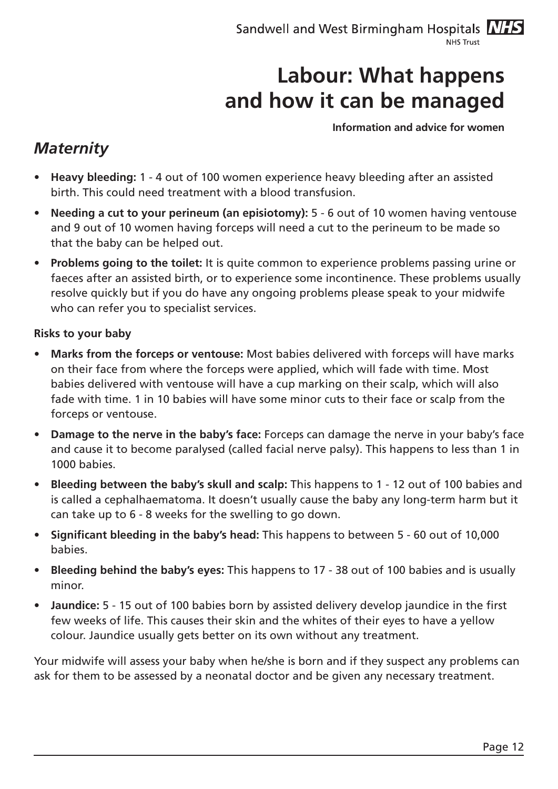**Information and advice for women**

### *Maternity*

- **Heavy bleeding:** 1 4 out of 100 women experience heavy bleeding after an assisted birth. This could need treatment with a blood transfusion.
- **• Needing a cut to your perineum (an episiotomy):** 5 6 out of 10 women having ventouse and 9 out of 10 women having forceps will need a cut to the perineum to be made so that the baby can be helped out.
- **• Problems going to the toilet:** It is quite common to experience problems passing urine or faeces after an assisted birth, or to experience some incontinence. These problems usually resolve quickly but if you do have any ongoing problems please speak to your midwife who can refer you to specialist services.

#### **Risks to your baby**

- **Marks from the forceps or ventouse:** Most babies delivered with forceps will have marks on their face from where the forceps were applied, which will fade with time. Most babies delivered with ventouse will have a cup marking on their scalp, which will also fade with time. 1 in 10 babies will have some minor cuts to their face or scalp from the forceps or ventouse.
- **Damage to the nerve in the baby's face:** Forceps can damage the nerve in your baby's face and cause it to become paralysed (called facial nerve palsy). This happens to less than 1 in 1000 babies.
- **Bleeding between the baby's skull and scalp:** This happens to 1 12 out of 100 babies and is called a cephalhaematoma. It doesn't usually cause the baby any long-term harm but it can take up to 6 - 8 weeks for the swelling to go down.
- **• Significant bleeding in the baby's head:** This happens to between 5 60 out of 10,000 babies.
- **Bleeding behind the baby's eyes:** This happens to 17 38 out of 100 babies and is usually minor.
- **Jaundice:** 5 15 out of 100 babies born by assisted delivery develop jaundice in the first few weeks of life. This causes their skin and the whites of their eyes to have a yellow colour. Jaundice usually gets better on its own without any treatment.

Your midwife will assess your baby when he/she is born and if they suspect any problems can ask for them to be assessed by a neonatal doctor and be given any necessary treatment.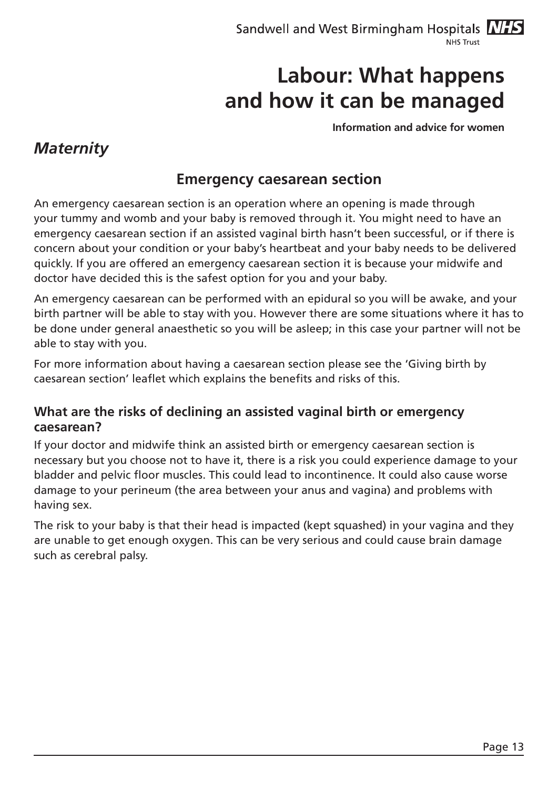**Information and advice for women**

### *Maternity*

#### **Emergency caesarean section**

An emergency caesarean section is an operation where an opening is made through your tummy and womb and your baby is removed through it. You might need to have an emergency caesarean section if an assisted vaginal birth hasn't been successful, or if there is concern about your condition or your baby's heartbeat and your baby needs to be delivered quickly. If you are offered an emergency caesarean section it is because your midwife and doctor have decided this is the safest option for you and your baby.

An emergency caesarean can be performed with an epidural so you will be awake, and your birth partner will be able to stay with you. However there are some situations where it has to be done under general anaesthetic so you will be asleep; in this case your partner will not be able to stay with you.

For more information about having a caesarean section please see the 'Giving birth by caesarean section' leaflet which explains the benefits and risks of this.

#### **What are the risks of declining an assisted vaginal birth or emergency caesarean?**

If your doctor and midwife think an assisted birth or emergency caesarean section is necessary but you choose not to have it, there is a risk you could experience damage to your bladder and pelvic floor muscles. This could lead to incontinence. It could also cause worse damage to your perineum (the area between your anus and vagina) and problems with having sex.

The risk to your baby is that their head is impacted (kept squashed) in your vagina and they are unable to get enough oxygen. This can be very serious and could cause brain damage such as cerebral palsy.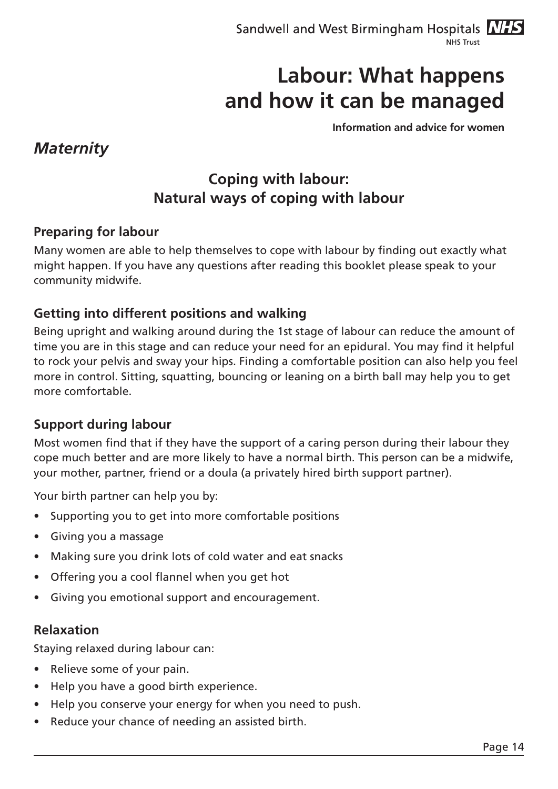**Information and advice for women**

### *Maternity*

## **Coping with labour: Natural ways of coping with labour**

#### **Preparing for labour**

Many women are able to help themselves to cope with labour by finding out exactly what might happen. If you have any questions after reading this booklet please speak to your community midwife.

#### **Getting into different positions and walking**

Being upright and walking around during the 1st stage of labour can reduce the amount of time you are in this stage and can reduce your need for an epidural. You may find it helpful to rock your pelvis and sway your hips. Finding a comfortable position can also help you feel more in control. Sitting, squatting, bouncing or leaning on a birth ball may help you to get more comfortable.

#### **Support during labour**

Most women find that if they have the support of a caring person during their labour they cope much better and are more likely to have a normal birth. This person can be a midwife, your mother, partner, friend or a doula (a privately hired birth support partner).

Your birth partner can help you by:

- Supporting you to get into more comfortable positions
- • Giving you a massage
- Making sure you drink lots of cold water and eat snacks
- • Offering you a cool flannel when you get hot
- • Giving you emotional support and encouragement.

#### **Relaxation**

Staying relaxed during labour can:

- Relieve some of your pain.
- Help you have a good birth experience.
- Help you conserve your energy for when you need to push.
- Reduce your chance of needing an assisted birth.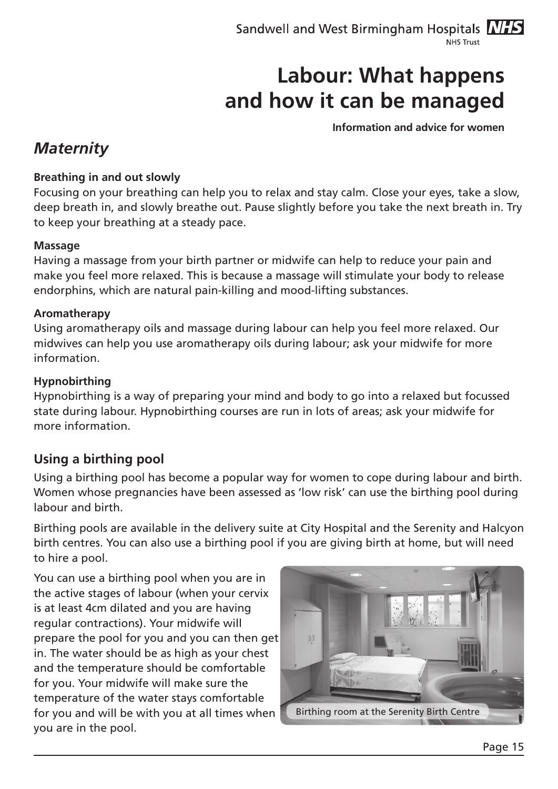**Information and advice for women**

## *Maternity*

#### **Breathing in and out slowly**

Focusing on your breathing can help you to relax and stay calm. Close your eyes, take a slow, deep breath in, and slowly breathe out. Pause slightly before you take the next breath in. Try to keep your breathing at a steady pace.

#### **Massage**

Having a massage from your birth partner or midwife can help to reduce your pain and make you feel more relaxed. This is because a massage will stimulate your body to release endorphins, which are natural pain-killing and mood-lifting substances.

#### **Aromatherapy**

Using aromatherapy oils and massage during labour can help you feel more relaxed. Our midwives can help you use aromatherapy oils during labour; ask your midwife for more information.

#### **Hypnobirthing**

Hypnobirthing is a way of preparing your mind and body to go into a relaxed but focussed state during labour. Hypnobirthing courses are run in lots of areas; ask your midwife for more information.

#### **Using a birthing pool**

Using a birthing pool has become a popular way for women to cope during labour and birth. Women whose pregnancies have been assessed as 'low risk' can use the birthing pool during labour and birth.

Birthing pools are available in the delivery suite at City Hospital and the Serenity and Halcyon birth centres. You can also use a birthing pool if you are giving birth at home, but will need to hire a pool.

You can use a birthing pool when you are in the active stages of labour (when your cervix is at least 4cm dilated and you are having regular contractions). Your midwife will prepare the pool for you and you can then get in. The water should be as high as your chest and the temperature should be comfortable for you. Your midwife will make sure the temperature of the water stays comfortable for you and will be with you at all times when you are in the pool.

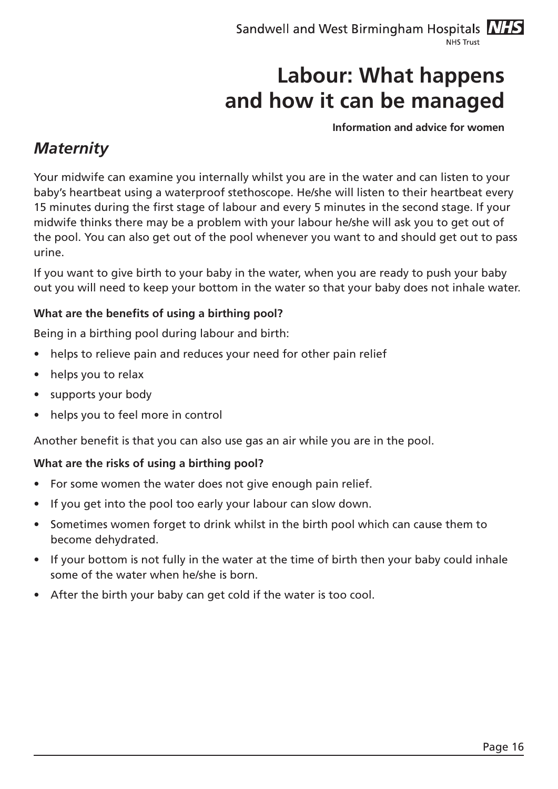#### **Information and advice for women**

### *Maternity*

Your midwife can examine you internally whilst you are in the water and can listen to your baby's heartbeat using a waterproof stethoscope. He/she will listen to their heartbeat every 15 minutes during the first stage of labour and every 5 minutes in the second stage. If your midwife thinks there may be a problem with your labour he/she will ask you to get out of the pool. You can also get out of the pool whenever you want to and should get out to pass urine.

If you want to give birth to your baby in the water, when you are ready to push your baby out you will need to keep your bottom in the water so that your baby does not inhale water.

#### **What are the benefits of using a birthing pool?**

Being in a birthing pool during labour and birth:

- helps to relieve pain and reduces your need for other pain relief
- helps you to relax
- supports your body
- helps you to feel more in control

Another benefit is that you can also use gas an air while you are in the pool.

#### **What are the risks of using a birthing pool?**

- For some women the water does not give enough pain relief.
- If you get into the pool too early your labour can slow down.
- Sometimes women forget to drink whilst in the birth pool which can cause them to become dehydrated.
- If your bottom is not fully in the water at the time of birth then your baby could inhale some of the water when he/she is born.
- After the birth your baby can get cold if the water is too cool.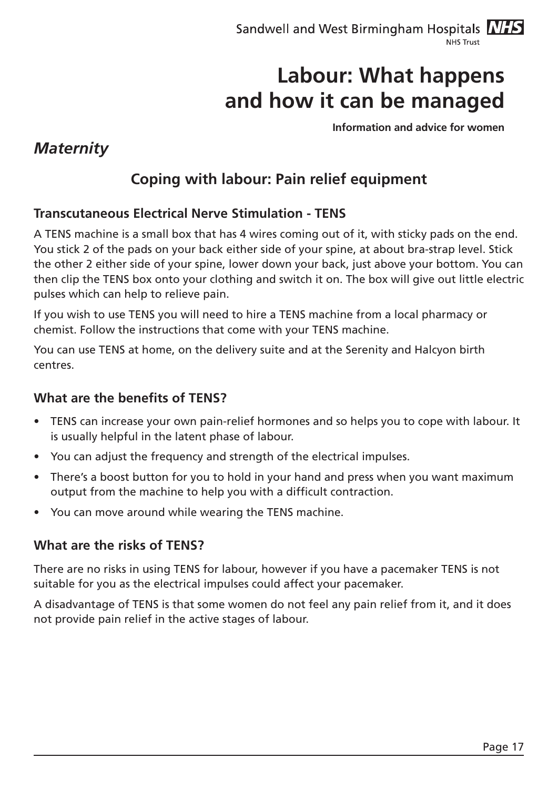**Information and advice for women**

### *Maternity*

## **Coping with labour: Pain relief equipment**

#### **Transcutaneous Electrical Nerve Stimulation - TENS**

A TENS machine is a small box that has 4 wires coming out of it, with sticky pads on the end. You stick 2 of the pads on your back either side of your spine, at about bra-strap level. Stick the other 2 either side of your spine, lower down your back, just above your bottom. You can then clip the TENS box onto your clothing and switch it on. The box will give out little electric pulses which can help to relieve pain.

If you wish to use TENS you will need to hire a TENS machine from a local pharmacy or chemist. Follow the instructions that come with your TENS machine.

You can use TENS at home, on the delivery suite and at the Serenity and Halcyon birth centres.

#### **What are the benefits of TENS?**

- TENS can increase your own pain-relief hormones and so helps you to cope with labour. It is usually helpful in the latent phase of labour.
- You can adjust the frequency and strength of the electrical impulses.
- There's a boost button for you to hold in your hand and press when you want maximum output from the machine to help you with a difficult contraction.
- You can move around while wearing the TENS machine.

#### **What are the risks of TENS?**

There are no risks in using TENS for labour, however if you have a pacemaker TENS is not suitable for you as the electrical impulses could affect your pacemaker.

A disadvantage of TENS is that some women do not feel any pain relief from it, and it does not provide pain relief in the active stages of labour.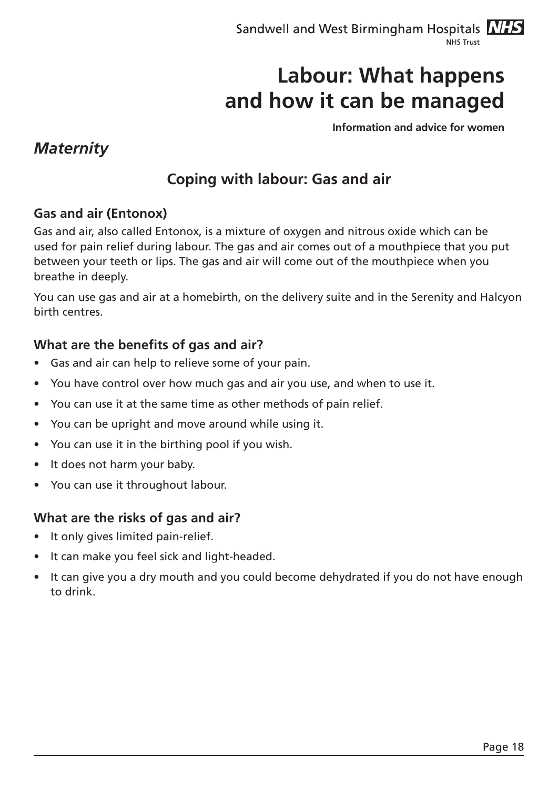**Information and advice for women**

### *Maternity*

## **Coping with labour: Gas and air**

#### **Gas and air (Entonox)**

Gas and air, also called Entonox, is a mixture of oxygen and nitrous oxide which can be used for pain relief during labour. The gas and air comes out of a mouthpiece that you put between your teeth or lips. The gas and air will come out of the mouthpiece when you breathe in deeply.

You can use gas and air at a homebirth, on the delivery suite and in the Serenity and Halcyon birth centres.

#### **What are the benefits of gas and air?**

- Gas and air can help to relieve some of your pain.
- You have control over how much gas and air you use, and when to use it.
- You can use it at the same time as other methods of pain relief.
- You can be upright and move around while using it.
- You can use it in the birthing pool if you wish.
- It does not harm your baby.
- You can use it throughout labour.

#### **What are the risks of gas and air?**

- It only gives limited pain-relief.
- It can make you feel sick and light-headed.
- It can give you a dry mouth and you could become dehydrated if you do not have enough to drink.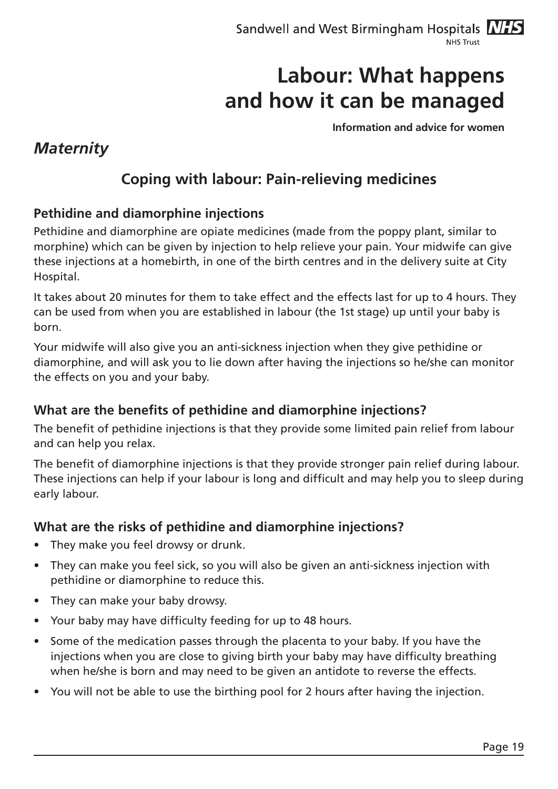**Information and advice for women**

### *Maternity*

## **Coping with labour: Pain-relieving medicines**

#### **Pethidine and diamorphine injections**

Pethidine and diamorphine are opiate medicines (made from the poppy plant, similar to morphine) which can be given by injection to help relieve your pain. Your midwife can give these injections at a homebirth, in one of the birth centres and in the delivery suite at City Hospital.

It takes about 20 minutes for them to take effect and the effects last for up to 4 hours. They can be used from when you are established in labour (the 1st stage) up until your baby is born.

Your midwife will also give you an anti-sickness injection when they give pethidine or diamorphine, and will ask you to lie down after having the injections so he/she can monitor the effects on you and your baby.

#### **What are the benefits of pethidine and diamorphine injections?**

The benefit of pethidine injections is that they provide some limited pain relief from labour and can help you relax.

The benefit of diamorphine injections is that they provide stronger pain relief during labour. These injections can help if your labour is long and difficult and may help you to sleep during early labour.

#### **What are the risks of pethidine and diamorphine injections?**

- They make you feel drowsy or drunk.
- They can make you feel sick, so you will also be given an anti-sickness injection with pethidine or diamorphine to reduce this.
- They can make your baby drowsy.
- Your baby may have difficulty feeding for up to 48 hours.
- Some of the medication passes through the placenta to your baby. If you have the injections when you are close to giving birth your baby may have difficulty breathing when he/she is born and may need to be given an antidote to reverse the effects.
- You will not be able to use the birthing pool for 2 hours after having the injection.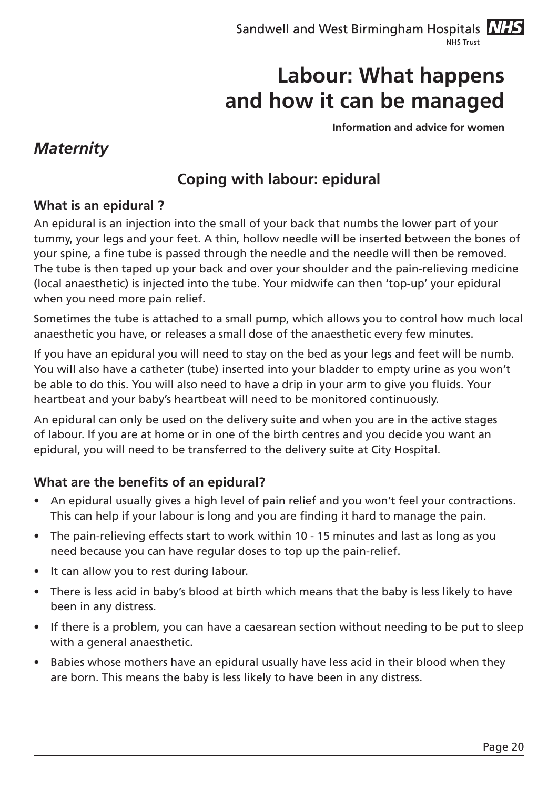**Information and advice for women**

### *Maternity*

## **Coping with labour: epidural**

#### **What is an epidural ?**

An epidural is an injection into the small of your back that numbs the lower part of your tummy, your legs and your feet. A thin, hollow needle will be inserted between the bones of your spine, a fine tube is passed through the needle and the needle will then be removed. The tube is then taped up your back and over your shoulder and the pain-relieving medicine (local anaesthetic) is injected into the tube. Your midwife can then 'top-up' your epidural when you need more pain relief.

Sometimes the tube is attached to a small pump, which allows you to control how much local anaesthetic you have, or releases a small dose of the anaesthetic every few minutes.

If you have an epidural you will need to stay on the bed as your legs and feet will be numb. You will also have a catheter (tube) inserted into your bladder to empty urine as you won't be able to do this. You will also need to have a drip in your arm to give you fluids. Your heartbeat and your baby's heartbeat will need to be monitored continuously.

An epidural can only be used on the delivery suite and when you are in the active stages of labour. If you are at home or in one of the birth centres and you decide you want an epidural, you will need to be transferred to the delivery suite at City Hospital.

#### **What are the benefits of an epidural?**

- An epidural usually gives a high level of pain relief and you won't feel your contractions. This can help if your labour is long and you are finding it hard to manage the pain.
- The pain-relieving effects start to work within 10 15 minutes and last as long as you need because you can have regular doses to top up the pain-relief.
- It can allow you to rest during labour.
- There is less acid in baby's blood at birth which means that the baby is less likely to have been in any distress.
- If there is a problem, you can have a caesarean section without needing to be put to sleep with a general anaesthetic.
- Babies whose mothers have an epidural usually have less acid in their blood when they are born. This means the baby is less likely to have been in any distress.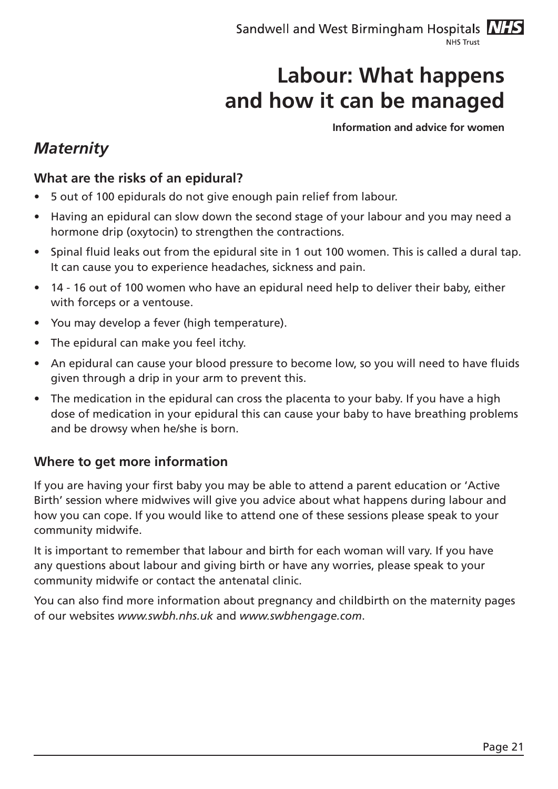**Information and advice for women**

### *Maternity*

#### **What are the risks of an epidural?**

- 5 out of 100 epidurals do not give enough pain relief from labour.
- Having an epidural can slow down the second stage of your labour and you may need a hormone drip (oxytocin) to strengthen the contractions.
- Spinal fluid leaks out from the epidural site in 1 out 100 women. This is called a dural tap. It can cause you to experience headaches, sickness and pain.
- 14 16 out of 100 women who have an epidural need help to deliver their baby, either with forceps or a ventouse.
- • You may develop a fever (high temperature).
- The epidural can make you feel itchy.
- An epidural can cause your blood pressure to become low, so you will need to have fluids given through a drip in your arm to prevent this.
- The medication in the epidural can cross the placenta to your baby. If you have a high dose of medication in your epidural this can cause your baby to have breathing problems and be drowsy when he/she is born.

#### **Where to get more information**

If you are having your first baby you may be able to attend a parent education or 'Active Birth' session where midwives will give you advice about what happens during labour and how you can cope. If you would like to attend one of these sessions please speak to your community midwife.

It is important to remember that labour and birth for each woman will vary. If you have any questions about labour and giving birth or have any worries, please speak to your community midwife or contact the antenatal clinic.

You can also find more information about pregnancy and childbirth on the maternity pages of our websites *www.swbh.nhs.uk* and *www.swbhengage.com*.